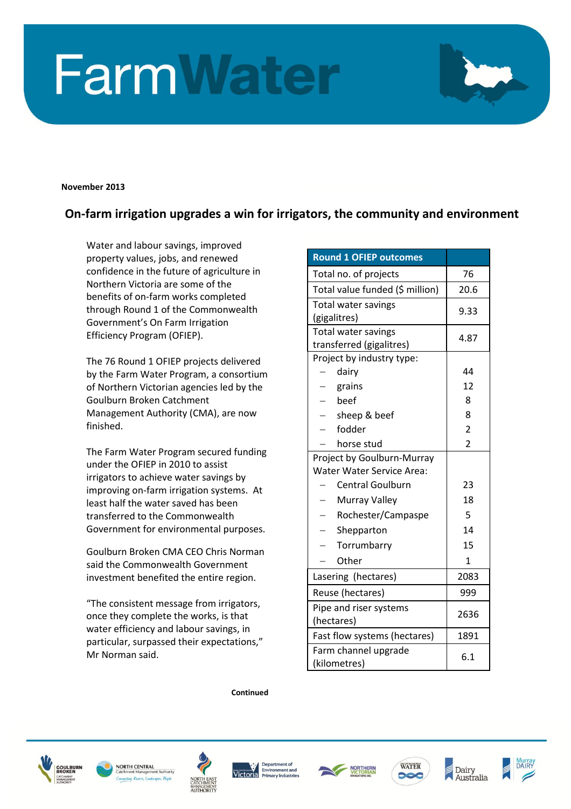## **FarmWater**

**November 2013**

## **On-farm irrigation upgrades a win for irrigators, the community and environment**

Water and labour savings, improved property values, jobs, and renewed confidence in the future of agriculture in Northern Victoria are some of the benefits of on-farm works completed through Round 1 of the Commonwealth Government's On Farm Irrigation Efficiency Program (OFIEP).

The 76 Round 1 OFIEP projects delivered by the Farm Water Program, a consortium of Northern Victorian agencies led by the Goulburn Broken Catchment Management Authority (CMA), are now finished.

The Farm Water Program secured funding under the OFIEP in 2010 to assist irrigators to achieve water savings by improving on-farm irrigation systems. At least half the water saved has been transferred to the Commonwealth Government for environmental purposes.

Goulburn Broken CMA CEO Chris Norman said the Commonwealth Government investment benefited the entire region.

"The consistent message from irrigators, once they complete the works, is that water efficiency and labour savings, in particular, surpassed their expectations," Mr Norman said.

| <b>Round 1 OFIEP outcomes</b>              |                |
|--------------------------------------------|----------------|
| Total no. of projects                      | 76             |
| Total value funded (\$ million)            | 20.6           |
| Total water savings                        | 9.33           |
| (gigalitres)                               |                |
| Total water savings                        | 4.87           |
| transferred (gigalitres)                   |                |
| Project by industry type:                  |                |
| dairy                                      | 44             |
| grains                                     | 12             |
| heef                                       | 8              |
| sheep & beef                               | 8              |
| fodder                                     | $\overline{2}$ |
| horse stud                                 | $\overline{2}$ |
| Project by Goulburn-Murray                 |                |
| <b>Water Water Service Area:</b>           |                |
| <b>Central Goulburn</b>                    | 23             |
| Murray Valley                              | 18             |
| Rochester/Campaspe                         | 5              |
| Shepparton                                 | 14             |
| Torrumbarry                                | 15             |
| Other                                      | 1              |
| Lasering (hectares)                        | 2083           |
| Reuse (hectares)                           | 999            |
| Pipe and riser systems                     | 2636           |
| (hectares)<br>Fast flow systems (hectares) | 1891           |
|                                            |                |
| Farm channel upgrade<br>(kilometres)       | 6.1            |

**Continued**













Dairy